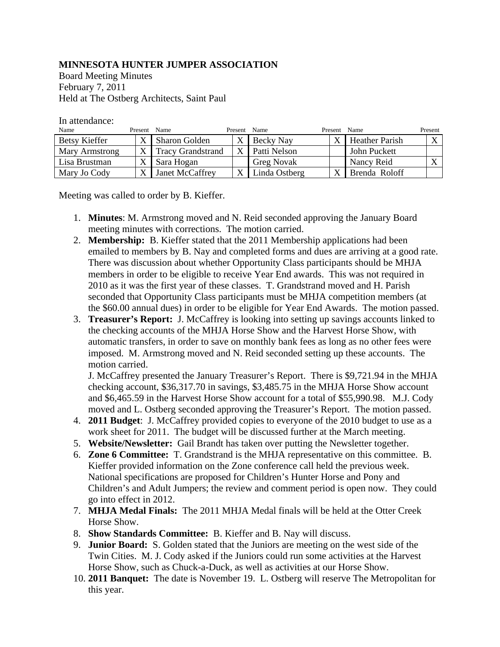## **MINNESOTA HUNTER JUMPER ASSOCIATION**

Board Meeting Minutes February 7, 2011 Held at The Ostberg Architects, Saint Paul

In attendance:

| Name           | Present Name |                          | Present | Name              | Present      | Name                  | Present |
|----------------|--------------|--------------------------|---------|-------------------|--------------|-----------------------|---------|
| Betsy Kieffer  |              | <b>Sharon Golden</b>     |         | Becky Nay         | X            | <b>Heather Parish</b> |         |
| Mary Armstrong |              | <b>Tracy Grandstrand</b> |         | Patti Nelson      |              | John Puckett          |         |
| Lisa Brustman  |              | Sara Hogan               |         | <b>Greg Novak</b> |              | Nancy Reid            |         |
| Mary Jo Cody   |              | Janet McCaffrey          |         | Linda Ostberg     | $\mathbf{v}$ | Brenda Roloff         |         |

Meeting was called to order by B. Kieffer.

- 1. **Minutes**: M. Armstrong moved and N. Reid seconded approving the January Board meeting minutes with corrections. The motion carried.
- 2. **Membership:** B. Kieffer stated that the 2011 Membership applications had been emailed to members by B. Nay and completed forms and dues are arriving at a good rate. There was discussion about whether Opportunity Class participants should be MHJA members in order to be eligible to receive Year End awards. This was not required in 2010 as it was the first year of these classes. T. Grandstrand moved and H. Parish seconded that Opportunity Class participants must be MHJA competition members (at the \$60.00 annual dues) in order to be eligible for Year End Awards. The motion passed.
- 3. **Treasurer's Report:** J. McCaffrey is looking into setting up savings accounts linked to the checking accounts of the MHJA Horse Show and the Harvest Horse Show, with automatic transfers, in order to save on monthly bank fees as long as no other fees were imposed. M. Armstrong moved and N. Reid seconded setting up these accounts. The motion carried.

J. McCaffrey presented the January Treasurer's Report. There is \$9,721.94 in the MHJA checking account, \$36,317.70 in savings, \$3,485.75 in the MHJA Horse Show account and \$6,465.59 in the Harvest Horse Show account for a total of \$55,990.98. M.J. Cody moved and L. Ostberg seconded approving the Treasurer's Report. The motion passed.

- 4. **2011 Budget**: J. McCaffrey provided copies to everyone of the 2010 budget to use as a work sheet for 2011. The budget will be discussed further at the March meeting.
- 5. **Website/Newsletter:** Gail Brandt has taken over putting the Newsletter together.
- 6. **Zone 6 Committee:** T. Grandstrand is the MHJA representative on this committee. B. Kieffer provided information on the Zone conference call held the previous week. National specifications are proposed for Children's Hunter Horse and Pony and Children's and Adult Jumpers; the review and comment period is open now. They could go into effect in 2012.
- 7. **MHJA Medal Finals:** The 2011 MHJA Medal finals will be held at the Otter Creek Horse Show.
- 8. **Show Standards Committee:** B. Kieffer and B. Nay will discuss.
- 9. **Junior Board:** S. Golden stated that the Juniors are meeting on the west side of the Twin Cities. M. J. Cody asked if the Juniors could run some activities at the Harvest Horse Show, such as Chuck-a-Duck, as well as activities at our Horse Show.
- 10. **2011 Banquet:** The date is November 19. L. Ostberg will reserve The Metropolitan for this year.